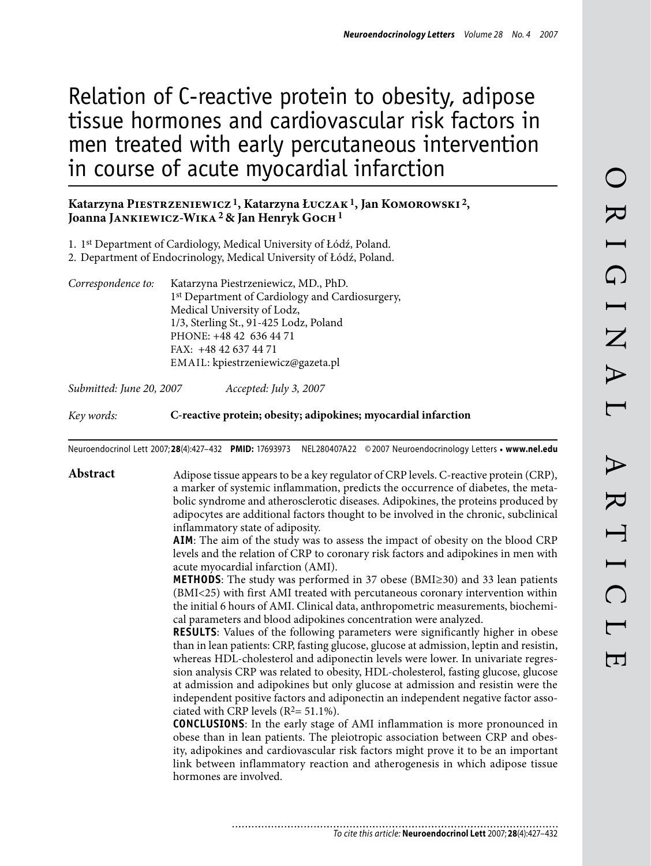# Relation of C-reactive protein to obesity, adipose tissue hormones and cardiovascular risk factors in men treated with early percutaneous intervention in course of acute myocardial infarction

#### **Katarzyna Piestrzeniewicz 1, Katarzyna Łuczak1, Jan Komorowski 2,**  Joanna JANKIEWICZ-WIKA<sup>2</sup> & Jan Henryk GOCH<sup>1</sup>

- 1. 1<sup>st</sup> Department of Cardiology, Medical University of Łódź, Poland.
- 2. Department of Endocrinology, Medical University of Łódź, Poland.
- *Correspondence to:* Katarzyna Piestrzeniewicz, MD., PhD. 1st Department of Cardiology and Cardiosurgery, Medical University of Lodz, 1/3, Sterling St., 91-425 Lodz, Poland Phone: +48 42 636 44 71 Fax: +48 42 637 44 71 Email: kpiestrzeniewicz@gazeta.pl

*Submitted: June 20, 2007 Accepted: July 3, 2007*

*Key words:* **C-reactive protein; obesity; adipokines; myocardial infarction**

Neuroendocrinol Lett 2007; **28**(4):427–432 **PMID:** 17693973 NEL280407A22 ©2007 Neuroendocrinology Letters • **www.nel.edu**

**Abstract** Adipose tissue appears to be a key regulator of CRP levels. C-reactive protein (CRP), a marker of systemic inflammation, predicts the occurrence of diabetes, the metabolic syndrome and atherosclerotic diseases. Adipokines, the proteins produced by adipocytes are additional factors thought to be involved in the chronic, subclinical inflammatory state of adiposity.

> **AIM**: The aim of the study was to assess the impact of obesity on the blood CRP levels and the relation of CRP to coronary risk factors and adipokines in men with acute myocardial infarction (AMI).

> **METHODS**: The study was performed in 37 obese (BMI≥30) and 33 lean patients (BMI<25) with first AMI treated with percutaneous coronary intervention within the initial 6 hours of AMI. Clinical data, anthropometric measurements, biochemical parameters and blood adipokines concentration were analyzed.

> **RESULTS**: Values of the following parameters were significantly higher in obese than in lean patients: CRP, fasting glucose, glucose at admission, leptin and resistin, whereas HDL-cholesterol and adiponectin levels were lower. In univariate regression analysis CRP was related to obesity, HDL-cholesterol, fasting glucose, glucose at admission and adipokines but only glucose at admission and resistin were the independent positive factors and adiponectin an independent negative factor associated with CRP levels  $(R^2 = 51.1\%)$ .

> **CONCLUSIONS**: In the early stage of AMI inflammation is more pronounced in obese than in lean patients. The pleiotropic association between CRP and obesity, adipokines and cardiovascular risk factors might prove it to be an important link between inflammatory reaction and atherogenesis in which adipose tissue hormones are involved.

............................ *To cite this article:* **Neuroendocrinol Lett** 2007; **28**(4):427–432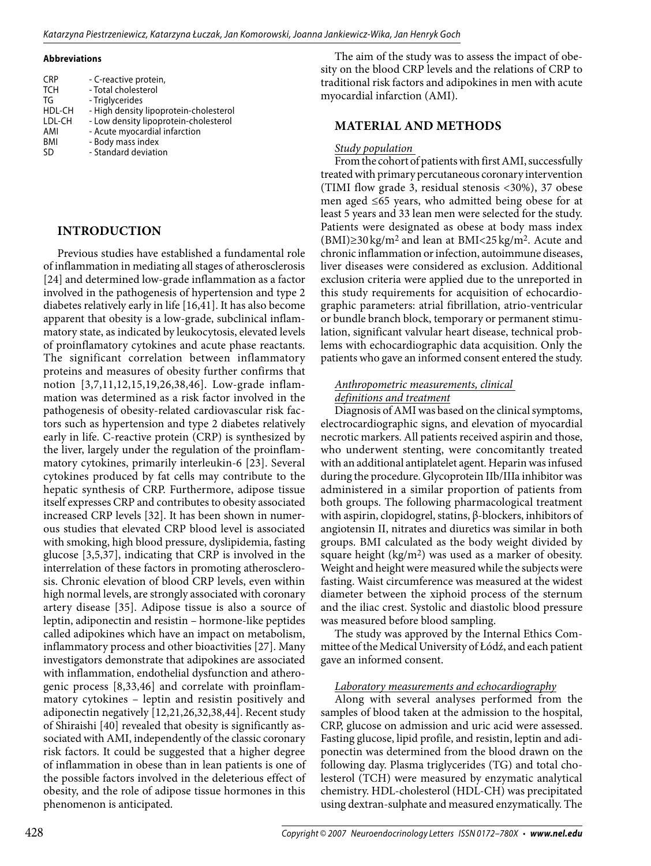#### **Abbreviations**

| <b>CRP</b><br><b>TCH</b><br>TG<br>HDL-CH<br>LDL-CH<br>AMI<br><b>BMI</b><br><b>SD</b> | - C-reactive protein,<br>- Total cholesterol<br>- Triglycerides<br>- High density lipoprotein-cholesterol<br>- Low density lipoprotein-cholesterol<br>- Acute myocardial infarction<br>- Body mass index |
|--------------------------------------------------------------------------------------|----------------------------------------------------------------------------------------------------------------------------------------------------------------------------------------------------------|
|                                                                                      | - Standard deviation                                                                                                                                                                                     |

### **Introduction**

Previous studies have established a fundamental role of inflammation in mediating all stages of atherosclerosis [24] and determined low-grade inflammation as a factor involved in the pathogenesis of hypertension and type 2 diabetes relatively early in life [16,41]. It has also become apparent that obesity is a low-grade, subclinical inflammatory state, as indicated by leukocytosis, elevated levels of proinflamatory cytokines and acute phase reactants. The significant correlation between inflammatory proteins and measures of obesity further confirms that notion [3,7,11,12,15,19,26,38,46]. Low-grade inflammation was determined as a risk factor involved in the pathogenesis of obesity-related cardiovascular risk factors such as hypertension and type 2 diabetes relatively early in life. C-reactive protein (CRP) is synthesized by the liver, largely under the regulation of the proinflammatory cytokines, primarily interleukin-6 [23]. Several cytokines produced by fat cells may contribute to the hepatic synthesis of CRP. Furthermore, adipose tissue itself expresses CRP and contributes to obesity associated increased CRP levels [32]. It has been shown in numerous studies that elevated CRP blood level is associated with smoking, high blood pressure, dyslipidemia, fasting glucose [3,5,37], indicating that CRP is involved in the interrelation of these factors in promoting atherosclerosis. Chronic elevation of blood CRP levels, even within high normal levels, are strongly associated with coronary artery disease [35]. Adipose tissue is also a source of leptin, adiponectin and resistin – hormone-like peptides called adipokines which have an impact on metabolism, inflammatory process and other bioactivities [27]. Many investigators demonstrate that adipokines are associated with inflammation, endothelial dysfunction and atherogenic process [8,33,46] and correlate with proinflammatory cytokines – leptin and resistin positively and adiponectin negatively [12,21,26,32,38,44]. Recent study of Shiraishi [40] revealed that obesity is significantly associated with AMI, independently of the classic coronary risk factors. It could be suggested that a higher degree of inflammation in obese than in lean patients is one of the possible factors involved in the deleterious effect of obesity, and the role of adipose tissue hormones in this phenomenon is anticipated.

The aim of the study was to assess the impact of obesity on the blood CRP levels and the relations of CRP to traditional risk factors and adipokines in men with acute myocardial infarction (AMI).

#### **Material and methods**

#### *Study population*

From the cohort of patients with first AMI, successfully treated with primary percutaneous coronary intervention (TIMI flow grade 3, residual stenosis <30%), 37 obese men aged ≤65 years, who admitted being obese for at least 5 years and 33 lean men were selected for the study. Patients were designated as obese at body mass index (BMI)≥30 kg/m2 and lean at BMI<25 kg/m2. Acute and chronic inflammation or infection, autoimmune diseases, liver diseases were considered as exclusion. Additional exclusion criteria were applied due to the unreported in this study requirements for acquisition of echocardiographic parameters: atrial fibrillation, atrio-ventricular or bundle branch block, temporary or permanent stimulation, significant valvular heart disease, technical problems with echocardiographic data acquisition. Only the patients who gave an informed consent entered the study.

#### *Anthropometric measurements, clinical definitions and treatment*

Diagnosis of AMI was based on the clinical symptoms, electrocardiographic signs, and elevation of myocardial necrotic markers. All patients received aspirin and those, who underwent stenting, were concomitantly treated with an additional antiplatelet agent. Heparin was infused during the procedure. Glycoprotein IIb/IIIa inhibitor was administered in a similar proportion of patients from both groups. The following pharmacological treatment with aspirin, clopidogrel, statins, β-blockers, inhibitors of angiotensin II, nitrates and diuretics was similar in both groups. BMI calculated as the body weight divided by square height  $(kg/m^2)$  was used as a marker of obesity. Weight and height were measured while the subjects were fasting. Waist circumference was measured at the widest diameter between the xiphoid process of the sternum and the iliac crest. Systolic and diastolic blood pressure was measured before blood sampling.

The study was approved by the Internal Ethics Committee of the Medical University of Łódź, and each patient gave an informed consent.

#### *Laboratory measurements and echocardiography*

Along with several analyses performed from the samples of blood taken at the admission to the hospital, CRP, glucose on admission and uric acid were assessed. Fasting glucose, lipid profile, and resistin, leptin and adiponectin was determined from the blood drawn on the following day. Plasma triglycerides (TG) and total cholesterol (TCH) were measured by enzymatic analytical chemistry. HDL-cholesterol (HDL-CH) was precipitated using dextran-sulphate and measured enzymatically. The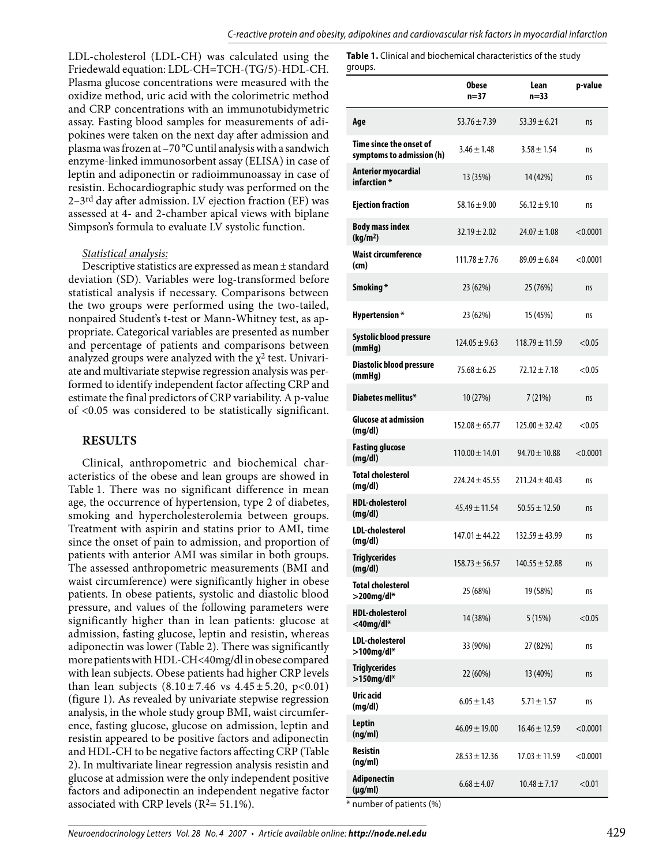LDL-cholesterol (LDL-CH) was calculated using the Friedewald equation: LDL-CH=TCH-(TG/5)-HDL-CH. Plasma glucose concentrations were measured with the oxidize method, uric acid with the colorimetric method and CRP concentrations with an immunotubidymetric assay. Fasting blood samples for measurements of adipokines were taken on the next day after admission and plasma was frozen at –70°C until analysis with a sandwich enzyme-linked immunosorbent assay (ELISA) in case of leptin and adiponectin or radioimmunoassay in case of resistin. Echocardiographic study was performed on the 2–3rd day after admission. LV ejection fraction (EF) was assessed at 4- and 2-chamber apical views with biplane Simpson's formula to evaluate LV systolic function.

#### *Statistical analysis:*

Descriptive statistics are expressed as mean±standard deviation (SD). Variables were log-transformed before statistical analysis if necessary. Comparisons between the two groups were performed using the two-tailed, nonpaired Student's t-test or Mann-Whitney test, as appropriate. Categorical variables are presented as number and percentage of patients and comparisons between analyzed groups were analyzed with the  $\chi^2$  test. Univariate and multivariate stepwise regression analysis was performed to identify independent factor affecting CRP and estimate the final predictors of CRP variability. A p-value of <0.05 was considered to be statistically significant.

#### **Results**

Clinical, anthropometric and biochemical characteristics of the obese and lean groups are showed in Table 1. There was no significant difference in mean age, the occurrence of hypertension, type 2 of diabetes, smoking and hypercholesterolemia between groups. Treatment with aspirin and statins prior to AMI, time since the onset of pain to admission, and proportion of patients with anterior AMI was similar in both groups. The assessed anthropometric measurements (BMI and waist circumference) were significantly higher in obese patients. In obese patients, systolic and diastolic blood pressure, and values of the following parameters were significantly higher than in lean patients: glucose at admission, fasting glucose, leptin and resistin, whereas adiponectin was lower (Table 2). There was significantly more patients with HDL-CH<40mg/dl in obese compared with lean subjects. Obese patients had higher CRP levels than lean subjects  $(8.10 \pm 7.46 \text{ vs } 4.45 \pm 5.20, \text{ p} < 0.01)$ (figure 1). As revealed by univariate stepwise regression analysis, in the whole study group BMI, waist circumference, fasting glucose, glucose on admission, leptin and resistin appeared to be positive factors and adiponectin and HDL-CH to be negative factors affecting CRP (Table 2). In multivariate linear regression analysis resistin and glucose at admission were the only independent positive factors and adiponectin an independent negative factor associated with CRP levels ( $R^2$ = 51.1%).

**Table 1.** Clinical and biochemical characteristics of the study groups.

|                                                      | <b>Obese</b><br>$n = 37$ | Lean<br>$n=33$     | p-value  |
|------------------------------------------------------|--------------------------|--------------------|----------|
| Age                                                  | $53.76 \pm 7.39$         | $53.39 \pm 6.21$   | ns       |
| Time since the onset of<br>symptoms to admission (h) | $3.46 \pm 1.48$          | $3.58 \pm 1.54$    | ns       |
| <b>Anterior myocardial</b><br>infarction *           | 13 (35%)                 | 14 (42%)           | ns       |
| <b>Ejection fraction</b>                             | $58.16 \pm 9.00$         | $56.12 \pm 9.10$   | ns       |
| <b>Body mass index</b><br>(kg/m <sup>2</sup> )       | $32.19 \pm 2.02$         | $24.07 \pm 1.08$   | < 0.0001 |
| <b>Waist circumference</b><br>(cm)                   | $111.78 \pm 7.76$        | $89.09 \pm 6.84$   | < 0.0001 |
| Smoking*                                             | 23 (62%)                 | 25 (76%)           | ns       |
| <b>Hypertension*</b>                                 | 23 (62%)                 | 15 (45%)           | ns       |
| Systolic blood pressure<br>(mmHg)                    | $124.05 \pm 9.63$        | $118.79 \pm 11.59$ | < 0.05   |
| Diastolic blood pressure<br>(mmHg)                   | $75.68 \pm 6.25$         | $72.12 \pm 7.18$   | < 0.05   |
| Diabetes mellitus*                                   | 10(27%)                  | 7(21%)             | ns       |
| <b>Glucose at admission</b><br>(mg/dl)               | $152.08 \pm 65.77$       | $125.00 \pm 32.42$ | < 0.05   |
| <b>Fasting glucose</b><br>(mg/dl)                    | $110.00 \pm 14.01$       | $94.70 \pm 10.88$  | < 0.0001 |
| <b>Total cholesterol</b><br>(mg/dl)                  | $224.24 \pm 45.55$       | $211.24 \pm 40.43$ | ns       |
| <b>HDL-cholesterol</b><br>(mg/dl)                    | $45.49 \pm 11.54$        | $50.55 \pm 12.50$  | ns       |
| <b>LDL-cholesterol</b><br>(mg/dl)                    | $147.01 \pm 44.22$       | $132.59 \pm 43.99$ | ns       |
| <b>Triglycerides</b><br>(mg/dl)                      | $158.73 \pm 56.57$       | $140.55 \pm 52.88$ | IIS      |
| <b>Total cholesterol</b><br>$>$ 200mg/dl*            | 25 (68%)                 | 19 (58%)           | ns       |
| <b>HDL-cholesterol</b><br>$<$ 40mg/dl $*$            | 14 (38%)                 | 5(15%)             | < 0.05   |
| LDL-cholesterol<br>$>100$ mg/dl*                     | 33 (90%)                 | 27 (82%)           | ns       |
| <b>Triglycerides</b><br>$>150$ mg/dl*                | 22 (60%)                 | 13 (40%)           | ns       |
| Uric acid<br>(mg/dl)                                 | $6.05 \pm 1.43$          | $5.71 \pm 1.57$    | ns       |
| <b>Leptin</b><br>(ng/ml)                             | $46.09 \pm 19.00$        | $16.46 \pm 12.59$  | < 0.0001 |
| <b>Resistin</b><br>(ng/ml)                           | $28.53 \pm 12.36$        | $17.03 \pm 11.59$  | < 0.0001 |
| <b>Adiponectin</b><br>$(\mu g/ml)$                   | $6.68 \pm 4.07$          | $10.48 \pm 7.17$   | < 0.01   |

\* number of patients (%)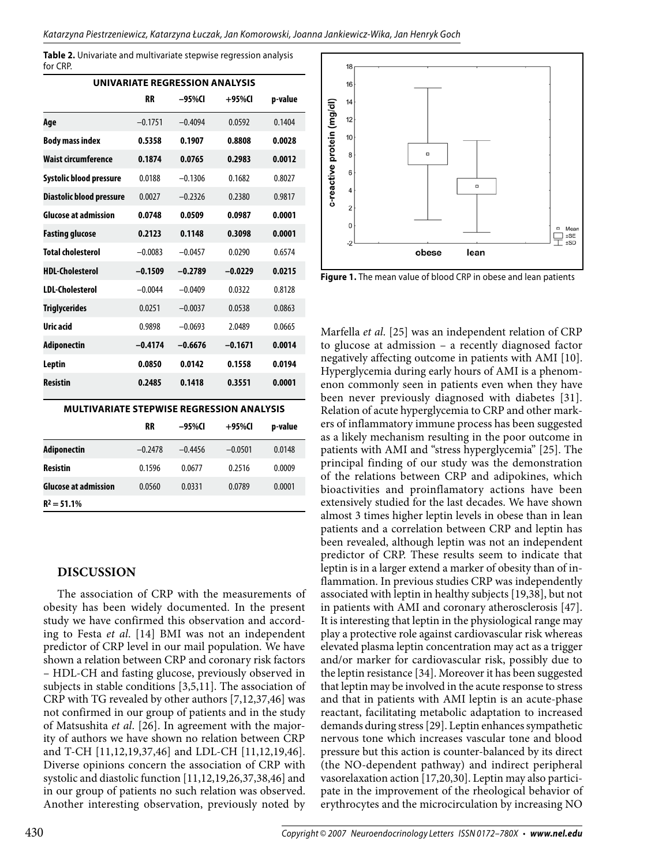**Table 2.** Univariate and multivariate stepwise regression analysis for CRP.

| UNIVARIATE REGRESSION ANALYSIS |           |           |           |         |  |  |  |  |
|--------------------------------|-----------|-----------|-----------|---------|--|--|--|--|
|                                | <b>RR</b> | –95%CI    | $+95%$ CI | p-value |  |  |  |  |
| Age                            | $-0.1751$ | $-0.4094$ | 0.0592    | 0.1404  |  |  |  |  |
| <b>Body mass index</b>         | 0.5358    | 0.1907    | 0.8808    | 0.0028  |  |  |  |  |
| Waist circumference            | 0.1874    | 0.0765    | 0.2983    | 0.0012  |  |  |  |  |
| Systolic blood pressure        | 0.0188    | $-0.1306$ | 0.1682    | 0.8027  |  |  |  |  |
| Diastolic blood pressure       | 0.0027    | $-0.2326$ | 0.2380    | 0.9817  |  |  |  |  |
| <b>Glucose at admission</b>    | 0.0748    | 0.0509    | 0.0987    | 0.0001  |  |  |  |  |
| <b>Fasting glucose</b>         | 0.2123    | 0.1148    | 0.3098    | 0.0001  |  |  |  |  |
| <b>Total cholesterol</b>       | $-0.0083$ | $-0.0457$ | 0.0290    | 0.6574  |  |  |  |  |
| HDI-Cholesterol                | $-0.1509$ | $-0.2789$ | $-0.0229$ | 0.0215  |  |  |  |  |
| <b>IDI-Cholesterol</b>         | $-0.0044$ | $-0.0409$ | 0.0322    | 0.8128  |  |  |  |  |
| <b>Triglycerides</b>           | 0.0251    | $-0.0037$ | 0.0538    | 0.0863  |  |  |  |  |
| Uric acid                      | 0.9898    | $-0.0693$ | 2.0489    | 0.0665  |  |  |  |  |
| Adiponectin                    | $-0.4174$ | $-0.6676$ | $-0.1671$ | 0.0014  |  |  |  |  |
| Leptin                         | 0.0850    | 0.0142    | 0.1558    | 0.0194  |  |  |  |  |
| <b>Resistin</b>                | 0.2485    | 0.1418    | 0.3551    | 0.0001  |  |  |  |  |

**Multivariate stepwise regression analysis**

|                             | <b>RR</b> | –95%CI    | $+95\%$ CI | p-value |
|-----------------------------|-----------|-----------|------------|---------|
| Adiponectin                 | $-0.2478$ | $-0.4456$ | $-0.0501$  | 0.0148  |
| <b>Resistin</b>             | 0.1596    | 0.0677    | 0.2516     | 0.0009  |
| <b>Glucose at admission</b> | 0.0560    | 0.0331    | 0.0789     | 0.0001  |
| $R^2 = 51.1\%$              |           |           |            |         |

### **Discussion**

The association of CRP with the measurements of obesity has been widely documented. In the present study we have confirmed this observation and according to Festa *et al*. [14] BMI was not an independent predictor of CRP level in our mail population. We have shown a relation between CRP and coronary risk factors – HDL-CH and fasting glucose, previously observed in subjects in stable conditions [3,5,11]. The association of CRP with TG revealed by other authors [7,12,37,46] was not confirmed in our group of patients and in the study of Matsushita *et al*. [26]. In agreement with the majority of authors we have shown no relation between CRP and T-CH [11,12,19,37,46] and LDL-CH [11,12,19,46]. Diverse opinions concern the association of CRP with systolic and diastolic function [11,12,19,26,37,38,46] and in our group of patients no such relation was observed. Another interesting observation, previously noted by



**Figure 1.** The mean value of blood CRP in obese and lean patients

Marfella *et al*. [25] was an independent relation of CRP to glucose at admission – a recently diagnosed factor negatively affecting outcome in patients with AMI [10]. Hyperglycemia during early hours of AMI is a phenomenon commonly seen in patients even when they have been never previously diagnosed with diabetes [31]. Relation of acute hyperglycemia to CRP and other markers of inflammatory immune process has been suggested as a likely mechanism resulting in the poor outcome in patients with AMI and "stress hyperglycemia" [25]. The principal finding of our study was the demonstration of the relations between CRP and adipokines, which bioactivities and proinflamatory actions have been extensively studied for the last decades. We have shown almost 3 times higher leptin levels in obese than in lean patients and a correlation between CRP and leptin has been revealed, although leptin was not an independent predictor of CRP. These results seem to indicate that leptin is in a larger extend a marker of obesity than of inflammation. In previous studies CRP was independently associated with leptin in healthy subjects [19,38], but not in patients with AMI and coronary atherosclerosis [47]. It is interesting that leptin in the physiological range may play a protective role against cardiovascular risk whereas elevated plasma leptin concentration may act as a trigger and/or marker for cardiovascular risk, possibly due to the leptin resistance [34]. Moreover it has been suggested that leptin may be involved in the acute response to stress and that in patients with AMI leptin is an acute-phase reactant, facilitating metabolic adaptation to increased demands during stress [29]. Leptin enhances sympathetic nervous tone which increases vascular tone and blood pressure but this action is counter-balanced by its direct (the NO-dependent pathway) and indirect peripheral vasorelaxation action [17,20,30]. Leptin may also participate in the improvement of the rheological behavior of erythrocytes and the microcirculation by increasing NO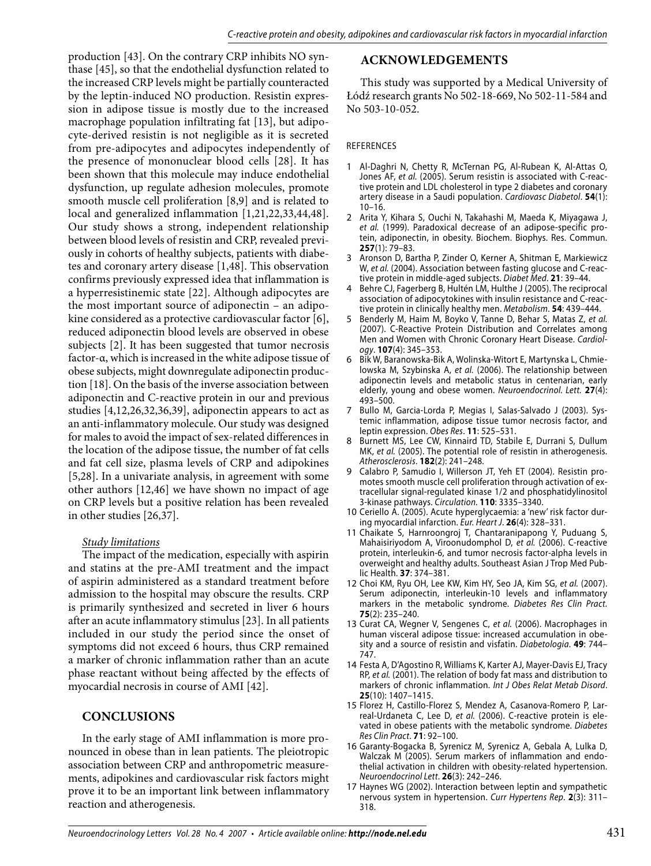production [43]. On the contrary CRP inhibits NO synthase [45], so that the endothelial dysfunction related to the increased CRP levels might be partially counteracted by the leptin-induced NO production. Resistin expression in adipose tissue is mostly due to the increased macrophage population infiltrating fat [13], but adipocyte-derived resistin is not negligible as it is secreted from pre-adipocytes and adipocytes independently of the presence of mononuclear blood cells [28]. It has been shown that this molecule may induce endothelial dysfunction, up regulate adhesion molecules, promote smooth muscle cell proliferation [8,9] and is related to local and generalized inflammation [1,21,22,33,44,48]. Our study shows a strong, independent relationship between blood levels of resistin and CRP, revealed previously in cohorts of healthy subjects, patients with diabetes and coronary artery disease [1,48]. This observation confirms previously expressed idea that inflammation is a hyperresistinemic state [22]. Although adipocytes are the most important source of adiponectin – an adipokine considered as a protective cardiovascular factor [6], reduced adiponectin blood levels are observed in obese subjects [2]. It has been suggested that tumor necrosis factor-α, which is increased in the white adipose tissue of obese subjects, might downregulate adiponectin production [18]. On the basis of the inverse association between adiponectin and C-reactive protein in our and previous studies [4,12,26,32,36,39], adiponectin appears to act as an anti-inflammatory molecule. Our study was designed for males to avoid the impact of sex-related differences in the location of the adipose tissue, the number of fat cells and fat cell size, plasma levels of CRP and adipokines [5,28]. In a univariate analysis, in agreement with some other authors [12,46] we have shown no impact of age on CRP levels but a positive relation has been revealed in other studies [26,37].

#### *Study limitations*

The impact of the medication, especially with aspirin and statins at the pre-AMI treatment and the impact of aspirin administered as a standard treatment before admission to the hospital may obscure the results. CRP is primarily synthesized and secreted in liver 6 hours after an acute inflammatory stimulus [23]. In all patients included in our study the period since the onset of symptoms did not exceed 6 hours, thus CRP remained a marker of chronic inflammation rather than an acute phase reactant without being affected by the effects of myocardial necrosis in course of AMI [42].

### **Conclusions**

In the early stage of AMI inflammation is more pronounced in obese than in lean patients. The pleiotropic association between CRP and anthropometric measurements, adipokines and cardiovascular risk factors might prove it to be an important link between inflammatory reaction and atherogenesis.

## **Acknowledgements**

This study was supported by a Medical University of Łódź research grants No 502-18-669, No 502-11-584 and No 503-10-052.

#### References

- Al-Daghri N, Chetty R, McTernan PG, Al-Rubean K, Al-Attas O, 1 Jones AF, *et al.* (2005). Serum resistin is associated with C-reactive protein and LDL cholesterol in type 2 diabetes and coronary artery disease in a Saudi population. *Cardiovasc Diabetol*. **54**(1): 10–16.
- 2 Arita Y, Kihara S, Ouchi N, Takahashi M, Maeda K, Miyagawa J, *et al.* (1999). Paradoxical decrease of an adipose-specific protein, adiponectin, in obesity. Biochem. Biophys. Res. Commun. **257**(1): 79–83.
- Aronson D, Bartha P, Zinder O, Kerner A, Shitman E, Markiewicz W, *et al.* (2004). Association between fasting glucose and C-reactive protein in middle-aged subjects. *Diabet Med*. **21**: 39–44. 3
- Behre CJ, Fagerberg B, Hultén LM, Hulthe J (2005). The reciprocal association of adipocytokines with insulin resistance and C-reactive protein in clinically healthy men. *Metabolism*. **54**: 439–444. 4
- Benderly M, Haim M, Boyko V, Tanne D, Behar S, Matas Z, *et al.* (2007). C-Reactive Protein Distribution and Correlates among Men and Women with Chronic Coronary Heart Disease. *Cardiology*. **107**(4): 345–353. 5
- Bik W, Baranowska-Bik A, Wolinska-Witort E, Martynska L, Chmielowska M, Szybinska A, *et al.* (2006). The relationship between adiponectin levels and metabolic status in centenarian, early elderly, young and obese women. *Neuroendocrinol. Lett.* **27**(4): 493–500. 6
- 7 Bullo M, Garcia-Lorda P, Megias I, Salas-Salvado J (2003). Systemic inflammation, adipose tissue tumor necrosis factor, and leptin expression. *Obes Res*. **11**: 525–531.
- Burnett MS, Lee CW, Kinnaird TD, Stabile E, Durrani S, Dullum MK, *et al.* (2005). The potential role of resistin in atherogenesis. *Atherosclerosis*. **182**(2): 241–248. 8
- Calabro P, Samudio I, Willerson JT, Yeh ET (2004). Resistin promotes smooth muscle cell proliferation through activation of extracellular signal-regulated kinase 1/2 and phosphatidylinositol 3-kinase pathways. *Circulation.* **110**: 3335–3340. 9
- 10 Ceriello A. (2005). Acute hyperglycaemia: a 'new' risk factor during myocardial infarction. *Eur. Heart J*. **26**(4): 328–331.
- 11 Chaikate S, Harnroongroj T, Chantaranipapong Y, Puduang S, Mahaisiriyodom A, Viroonudomphol D, *et al.* (2006). C-reactive protein, interleukin-6, and tumor necrosis factor-alpha levels in overweight and healthy adults. Southeast Asian J Trop Med Public Health. **37**: 374–381.
- 12 Choi KM, Ryu OH, Lee KW, Kim HY, Seo JA, Kim SG, et al. (2007). Serum adiponectin, interleukin-10 levels and inflammatory markers in the metabolic syndrome. *Diabetes Res Clin Pract.* **75**(2): 235–240.
- 13 Curat CA, Wegner V, Sengenes C, et al. (2006). Macrophages in human visceral adipose tissue: increased accumulation in obesity and a source of resistin and visfatin. *Diabetologia*. **49**: 744– 747.
- 14 Festa A, D'Agostino R, Williams K, Karter AJ, Mayer-Davis EJ, Tracy RP, *et al.* (2001). The relation of body fat mass and distribution to markers of chronic inflammation. *Int J Obes Relat Metab Disord*. **25**(10): 1407–1415.
- 15 Florez H, Castillo-Florez S, Mendez A, Casanova-Romero P, Larreal-Urdaneta C, Lee D, *et al.* (2006). C-reactive protein is elevated in obese patients with the metabolic syndrome. *Diabetes Res Clin Pract*. **71**: 92–100.
- 16 Garanty-Bogacka B, Syrenicz M, Syrenicz A, Gebala A, Lulka D, Walczak M (2005). Serum markers of inflammation and endothelial activation in children with obesity-related hypertension. *Neuroendocrinol Lett*. **26**(3): 242–246.
- 17 Haynes WG (2002). Interaction between leptin and sympathetic nervous system in hypertension. *Curr Hypertens Rep*. **2**(3): 311– 318.